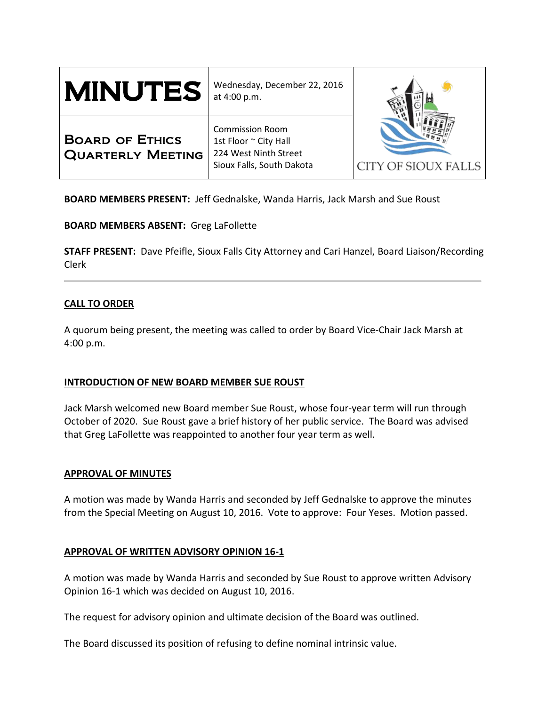| <b>MINUTES</b>                                     | Wednesday, December 22, 2016<br>at 4:00 p.m.                                                          | <b>CITY OF SIOUX FALLS</b> |
|----------------------------------------------------|-------------------------------------------------------------------------------------------------------|----------------------------|
| <b>BOARD OF ETHICS</b><br><b>QUARTERLY MEETING</b> | <b>Commission Room</b><br>1st Floor ~ City Hall<br>224 West Ninth Street<br>Sioux Falls, South Dakota |                            |

**BOARD MEMBERS PRESENT:** Jeff Gednalske, Wanda Harris, Jack Marsh and Sue Roust

**BOARD MEMBERS ABSENT:** Greg LaFollette

**STAFF PRESENT:** Dave Pfeifle, Sioux Falls City Attorney and Cari Hanzel, Board Liaison/Recording Clerk

# **CALL TO ORDER**

A quorum being present, the meeting was called to order by Board Vice-Chair Jack Marsh at 4:00 p.m.

### **INTRODUCTION OF NEW BOARD MEMBER SUE ROUST**

Jack Marsh welcomed new Board member Sue Roust, whose four-year term will run through October of 2020. Sue Roust gave a brief history of her public service. The Board was advised that Greg LaFollette was reappointed to another four year term as well.

### **APPROVAL OF MINUTES**

A motion was made by Wanda Harris and seconded by Jeff Gednalske to approve the minutes from the Special Meeting on August 10, 2016. Vote to approve: Four Yeses. Motion passed.

### **APPROVAL OF WRITTEN ADVISORY OPINION 16-1**

A motion was made by Wanda Harris and seconded by Sue Roust to approve written Advisory Opinion 16-1 which was decided on August 10, 2016.

The request for advisory opinion and ultimate decision of the Board was outlined.

The Board discussed its position of refusing to define nominal intrinsic value.